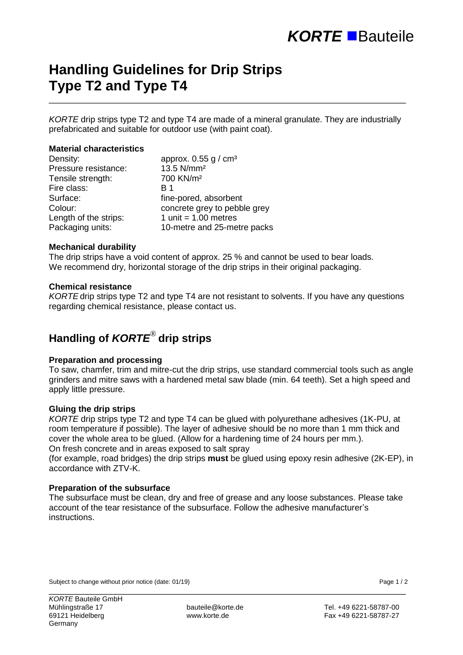# **Handling Guidelines for Drip Strips Type T2 and Type T4**

*KORTE* drip strips type T2 and type T4 are made of a mineral granulate. They are industrially prefabricated and suitable for outdoor use (with paint coat).

\_\_\_\_\_\_\_\_\_\_\_\_\_\_\_\_\_\_\_\_\_\_\_\_\_\_\_\_\_\_\_\_\_\_\_\_\_\_\_\_\_\_\_\_\_\_\_\_\_\_\_\_\_\_\_\_\_\_\_\_\_\_\_\_\_\_\_\_\_\_\_\_\_\_\_

### **Material characteristics**

| Density:              | approx. $0.55$ g / cm <sup>3</sup> |
|-----------------------|------------------------------------|
| Pressure resistance:  | 13.5 N/mm <sup>2</sup>             |
| Tensile strength:     | 700 KN/m <sup>2</sup>              |
| Fire class:           | B 1                                |
| Surface:              | fine-pored, absorbent              |
| Colour:               | concrete grey to pebble grey       |
| Length of the strips: | 1 unit = $1.00$ metres             |
| Packaging units:      | 10-metre and 25-metre packs        |

#### **Mechanical durability**

The drip strips have a void content of approx. 25 % and cannot be used to bear loads. We recommend dry, horizontal storage of the drip strips in their original packaging.

### **Chemical resistance**

*KORTE* drip strips type T2 and type T4 are not resistant to solvents. If you have any questions regarding chemical resistance, please contact us.

# **Handling of** *KORTE*® **drip strips**

#### **Preparation and processing**

To saw, chamfer, trim and mitre-cut the drip strips, use standard commercial tools such as angle grinders and mitre saws with a hardened metal saw blade (min. 64 teeth). Set a high speed and apply little pressure.

#### **Gluing the drip strips**

*KORTE* drip strips type T2 and type T4 can be glued with polyurethane adhesives (1K-PU, at room temperature if possible). The layer of adhesive should be no more than 1 mm thick and cover the whole area to be glued. (Allow for a hardening time of 24 hours per mm.). On fresh concrete and in areas exposed to salt spray

(for example, road bridges) the drip strips **must** be glued using epoxy resin adhesive (2K-EP), in accordance with ZTV-K.

## **Preparation of the subsurface**

The subsurface must be clean, dry and free of grease and any loose substances. Please take account of the tear resistance of the subsurface. Follow the adhesive manufacturer's instructions.

Subject to change without prior notice (date: 01/19) **Page 1** / 2